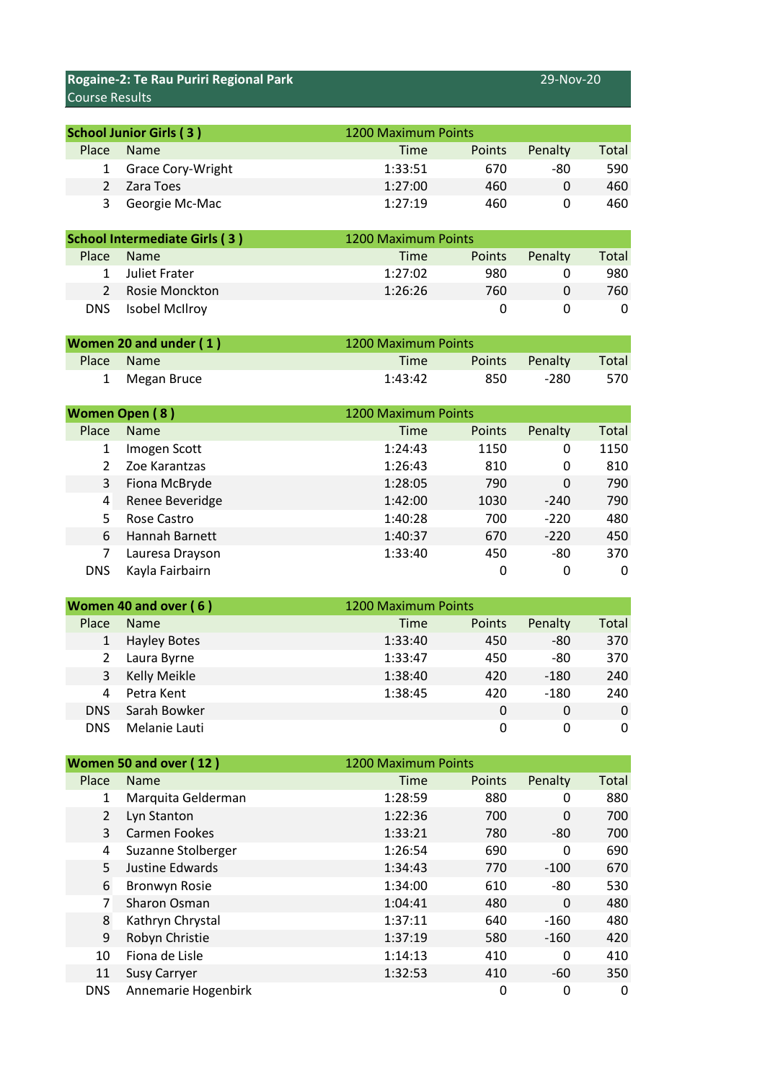## **Rogaine-2: Te Rau Puriri Regional Park** 29-Nov-20 Course Results

| <b>School Junior Girls (3)</b> |                     |         | 1200 Maximum Points |         |       |
|--------------------------------|---------------------|---------|---------------------|---------|-------|
| <b>Place</b>                   | <b>Name</b>         | Time    | <b>Points</b>       | Penalty | Total |
|                                | 1 Grace Cory-Wright | 1:33:51 | 670                 | -80     | 590   |
|                                | Zara Toes           | 1:27:00 | 460                 | 0       | 460   |
| 3                              | Georgie Mc-Mac      | 1:27:19 | 460                 |         | 460   |

| <b>School Intermediate Girls (3)</b> |                  |             | 1200 Maximum Points |         |       |
|--------------------------------------|------------------|-------------|---------------------|---------|-------|
| <b>Place</b>                         | <b>Name</b>      | <b>Time</b> | <b>Points</b>       | Penalty | Total |
|                                      | 1 Juliet Frater  | 1:27:02     | 980                 |         | 980   |
|                                      | 2 Rosie Monckton | 1:26:26     | 760                 |         | 760.  |
| DNS.                                 | Isobel McIlroy   |             |                     |         |       |

| Women 20 and under (1) |               |             | 1200 Maximum Points |                |       |
|------------------------|---------------|-------------|---------------------|----------------|-------|
|                        | Place Name    | <b>Time</b> |                     | Points Penalty | Total |
|                        | 1 Megan Bruce | 1:43:42     | 850                 | -280           | 570   |

| <b>Women Open (8)</b> |                 |         | 1200 Maximum Points |         |              |
|-----------------------|-----------------|---------|---------------------|---------|--------------|
| Place                 | <b>Name</b>     | Time    | Points              | Penalty | <b>Total</b> |
| 1                     | Imogen Scott    | 1:24:43 | 1150                | 0       | 1150         |
|                       | Zoe Karantzas   | 1:26:43 | 810                 | 0       | 810          |
| 3                     | Fiona McBryde   | 1:28:05 | 790                 | 0       | 790          |
| 4                     | Renee Beveridge | 1:42:00 | 1030                | $-240$  | 790          |
| 5                     | Rose Castro     | 1:40:28 | 700                 | $-220$  | 480          |
| 6                     | Hannah Barnett  | 1:40:37 | 670                 | $-220$  | 450          |
|                       | Lauresa Drayson | 1:33:40 | 450                 | $-80$   | 370          |
| <b>DNS</b>            | Kayla Fairbairn |         | 0                   | 0       | 0            |

| Women 40 and over (6) |                     | 1200 Maximum Points |         |       |
|-----------------------|---------------------|---------------------|---------|-------|
| Place                 | <b>Name</b>         | Points<br>Time      | Penalty | Total |
|                       | <b>Hayley Botes</b> | 1:33:40<br>450      | -80     | 370   |
| 2                     | Laura Byrne         | 1:33:47<br>450      | -80     | 370   |
| 3                     | Kelly Meikle        | 1:38:40<br>420      | $-180$  | 240   |
| 4                     | Petra Kent          | 1:38:45<br>420      | $-180$  | 240   |
| <b>DNS</b>            | Sarah Bowker        | 0                   | 0       | 0     |
| <b>DNS</b>            | Melanie Lauti       | 0                   | 0       | 0     |

| Women 50 and over (12) |                     |             | 1200 Maximum Points |         |              |
|------------------------|---------------------|-------------|---------------------|---------|--------------|
| Place                  | <b>Name</b>         | <b>Time</b> | Points              | Penalty | <b>Total</b> |
| 1                      | Marquita Gelderman  | 1:28:59     | 880                 | 0       | 880          |
| $\overline{2}$         | Lyn Stanton         | 1:22:36     | 700                 | 0       | 700          |
| 3                      | Carmen Fookes       | 1:33:21     | 780                 | -80     | 700          |
| 4                      | Suzanne Stolberger  | 1:26:54     | 690                 | 0       | 690          |
| 5                      | Justine Edwards     | 1:34:43     | 770                 | $-100$  | 670          |
| 6                      | Bronwyn Rosie       | 1:34:00     | 610                 | -80     | 530          |
| 7                      | Sharon Osman        | 1:04:41     | 480                 | 0       | 480          |
| 8                      | Kathryn Chrystal    | 1:37:11     | 640                 | $-160$  | 480          |
| 9                      | Robyn Christie      | 1:37:19     | 580                 | $-160$  | 420          |
| 10                     | Fiona de Lisle      | 1:14:13     | 410                 | 0       | 410          |
| 11                     | <b>Susy Carryer</b> | 1:32:53     | 410                 | -60     | 350          |
| <b>DNS</b>             | Annemarie Hogenbirk |             | 0                   | 0       | 0            |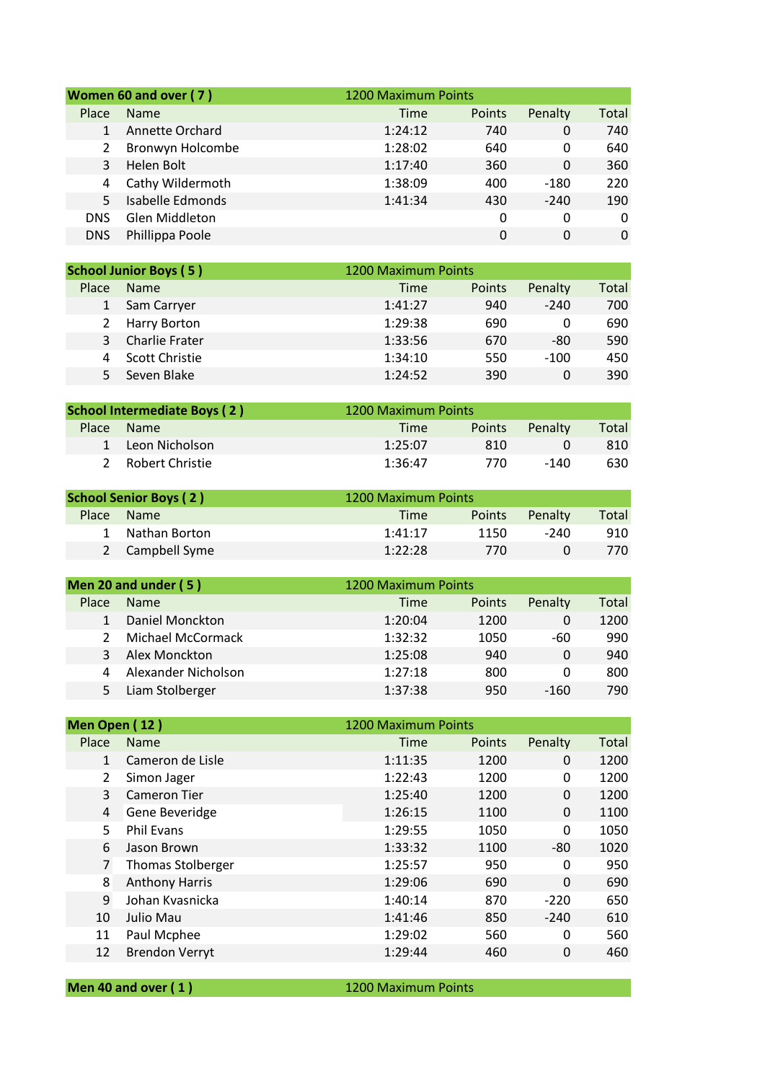| Women 60 and over (7) |                  |         | 1200 Maximum Points |         |          |
|-----------------------|------------------|---------|---------------------|---------|----------|
| Place                 | <b>Name</b>      | Time    | Points              | Penalty | Total    |
|                       | Annette Orchard  | 1:24:12 | 740                 | 0       | 740      |
|                       | Bronwyn Holcombe | 1:28:02 | 640                 | 0       | 640      |
| 3                     | Helen Bolt       | 1:17:40 | 360                 | 0       | 360      |
| 4                     | Cathy Wildermoth | 1:38:09 | 400                 | $-180$  | 220      |
| 5                     | Isabelle Edmonds | 1:41:34 | 430                 | $-240$  | 190      |
| <b>DNS</b>            | Glen Middleton   |         | 0                   | 0       | $\Omega$ |
| <b>DNS</b>            | Phillippa Poole  |         | 0                   | 0       | $\Omega$ |

| <b>School Junior Boys (5)</b> |                       | 1200 Maximum Points |         |       |
|-------------------------------|-----------------------|---------------------|---------|-------|
| Place                         | <b>Name</b>           | Points<br>Time      | Penalty | Total |
|                               | Sam Carryer           | 1:41:27<br>940      | $-240$  | 700   |
|                               | 2 Harry Borton        | 1:29:38<br>690      | 0       | 690   |
| 3                             | <b>Charlie Frater</b> | 1:33:56<br>670      | -80     | 590   |
|                               | Scott Christie        | 1:34:10<br>550      | $-100$  | 450   |
|                               | Seven Blake           | 1:24:52<br>390      | 0       | 390   |

| <b>School Intermediate Boys (2)</b> |                   |         | 1200 Maximum Points |         |       |
|-------------------------------------|-------------------|---------|---------------------|---------|-------|
| <b>Place</b>                        | <b>Name</b>       | Time    | <b>Points</b>       | Penalty | Total |
|                                     | 1 Leon Nicholson  | 1:25:07 | 810                 |         | 810   |
|                                     | 2 Robert Christie | 1:36:47 | 770                 | -140    | 630   |

| <b>School Senior Boys (2)</b> |                 | 1200 Maximum Points   |         |       |
|-------------------------------|-----------------|-----------------------|---------|-------|
| <b>Place</b>                  | <b>Name</b>     | <b>Points</b><br>Time | Penalty | Total |
|                               | 1 Nathan Borton | 1150<br>1:41:17       | -240    | 910   |
|                               | 2 Campbell Syme | 1:22:28<br>770        |         | 770   |

| Men 20 and under (5) |                     |         | 1200 Maximum Points |         |       |
|----------------------|---------------------|---------|---------------------|---------|-------|
| Place                | <b>Name</b>         | Time    | <b>Points</b>       | Penalty | Total |
|                      | Daniel Monckton     | 1:20:04 | 1200                | 0       | 1200  |
|                      | Michael McCormack   | 1:32:32 | 1050                | -60     | 990   |
|                      | Alex Monckton       | 1:25:08 | 940                 | 0       | 940   |
| 4                    | Alexander Nicholson | 1:27:18 | 800                 | Ω       | 800   |
|                      | Liam Stolberger     | 1:37:38 | 950                 | -160    | 790   |

| Men Open (12)  |                          |             | 1200 Maximum Points |          |              |
|----------------|--------------------------|-------------|---------------------|----------|--------------|
| Place          | <b>Name</b>              | <b>Time</b> | Points              | Penalty  | <b>Total</b> |
| 1              | Cameron de Lisle         | 1:11:35     | 1200                | 0        | 1200         |
| 2              | Simon Jager              | 1:22:43     | 1200                | 0        | 1200         |
| 3              | <b>Cameron Tier</b>      | 1:25:40     | 1200                | 0        | 1200         |
| 4              | Gene Beveridge           | 1:26:15     | 1100                | 0        | 1100         |
| 5              | <b>Phil Evans</b>        | 1:29:55     | 1050                | 0        | 1050         |
| 6              | Jason Brown              | 1:33:32     | 1100                | $-80$    | 1020         |
| $\overline{7}$ | <b>Thomas Stolberger</b> | 1:25:57     | 950                 | 0        | 950          |
| 8              | <b>Anthony Harris</b>    | 1:29:06     | 690                 | $\Omega$ | 690          |
| 9              | Johan Kvasnicka          | 1:40:14     | 870                 | $-220$   | 650          |
| 10             | Julio Mau                | 1:41:46     | 850                 | $-240$   | 610          |
| 11             | Paul Mcphee              | 1:29:02     | 560                 | 0        | 560          |
| 12             | <b>Brendon Verryt</b>    | 1:29:44     | 460                 | 0        | 460          |
|                |                          |             |                     |          |              |

| Men 40 and over $(1)$ |  |  |
|-----------------------|--|--|
|-----------------------|--|--|

**1200 Maximum Points**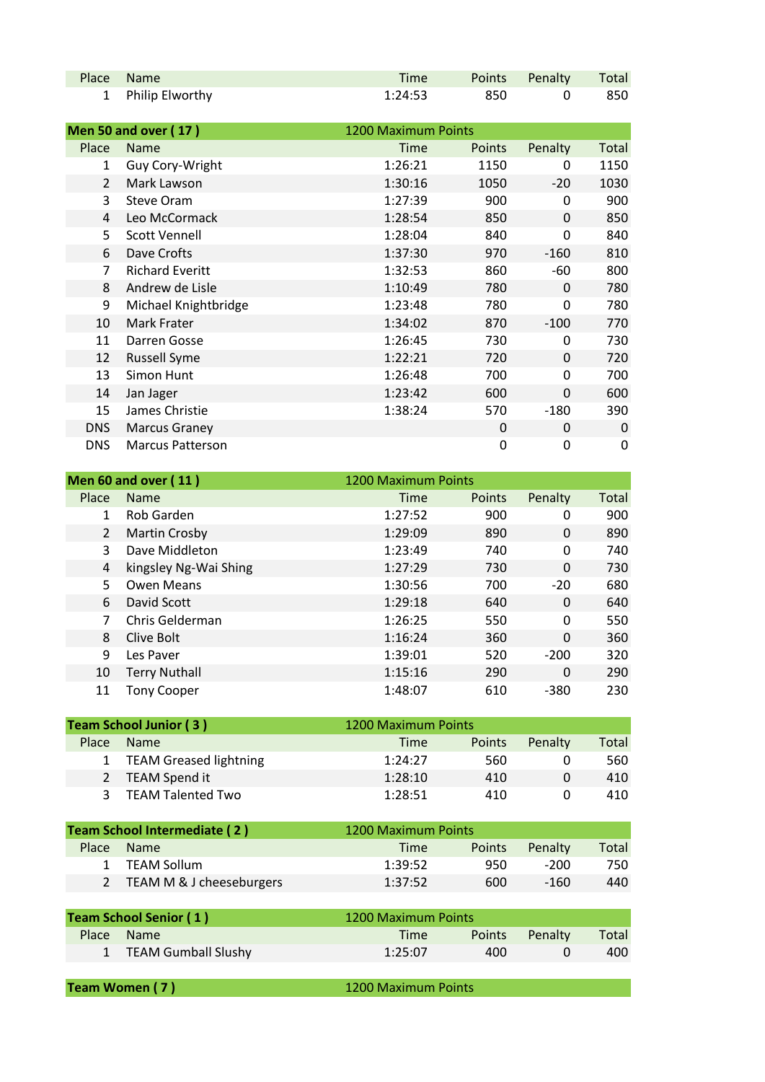| Place Name        | Time    |     | Points Penalty Total |     |
|-------------------|---------|-----|----------------------|-----|
| 1 Philip Elworthy | 1:24:53 | 850 |                      | 850 |

|                | <b>Men 50 and over (17)</b> | 1200 Maximum Points |               |          |       |
|----------------|-----------------------------|---------------------|---------------|----------|-------|
| Place          | <b>Name</b>                 | <b>Time</b>         | <b>Points</b> | Penalty  | Total |
| 1              | Guy Cory-Wright             | 1:26:21             | 1150          | 0        | 1150  |
| $\overline{2}$ | Mark Lawson                 | 1:30:16             | 1050          | $-20$    | 1030  |
| 3              | <b>Steve Oram</b>           | 1:27:39             | 900           | 0        | 900   |
| $\overline{4}$ | Leo McCormack               | 1:28:54             | 850           | 0        | 850   |
| 5              | <b>Scott Vennell</b>        | 1:28:04             | 840           | 0        | 840   |
| 6              | Dave Crofts                 | 1:37:30             | 970           | $-160$   | 810   |
| $\overline{7}$ | <b>Richard Everitt</b>      | 1:32:53             | 860           | -60      | 800   |
| 8              | Andrew de Lisle             | 1:10:49             | 780           | 0        | 780   |
| 9              | Michael Knightbridge        | 1:23:48             | 780           | 0        | 780   |
| 10             | Mark Frater                 | 1:34:02             | 870           | $-100$   | 770   |
| 11             | Darren Gosse                | 1:26:45             | 730           | 0        | 730   |
| 12             | <b>Russell Syme</b>         | 1:22:21             | 720           | 0        | 720   |
| 13             | Simon Hunt                  | 1:26:48             | 700           | 0        | 700   |
| 14             | Jan Jager                   | 1:23:42             | 600           | $\Omega$ | 600   |
| 15             | James Christie              | 1:38:24             | 570           | $-180$   | 390   |
| <b>DNS</b>     | <b>Marcus Graney</b>        |                     | 0             | 0        | 0     |
| <b>DNS</b>     | <b>Marcus Patterson</b>     |                     | 0             | 0        | 0     |

|                | Men 60 and over (11)  |         | 1200 Maximum Points |              |       |
|----------------|-----------------------|---------|---------------------|--------------|-------|
| Place          | <b>Name</b>           | Time    | Points              | Penalty      | Total |
| 1              | Rob Garden            | 1:27:52 | 900                 | 0            | 900   |
| $\overline{2}$ | Martin Crosby         | 1:29:09 | 890                 | 0            | 890   |
| 3              | Dave Middleton        | 1:23:49 | 740                 | 0            | 740   |
| 4              | kingsley Ng-Wai Shing | 1:27:29 | 730                 | $\mathbf{0}$ | 730   |
| 5              | Owen Means            | 1:30:56 | 700                 | $-20$        | 680   |
| 6              | David Scott           | 1:29:18 | 640                 | 0            | 640   |
| 7              | Chris Gelderman       | 1:26:25 | 550                 | 0            | 550   |
| 8              | Clive Bolt            | 1:16:24 | 360                 | 0            | 360   |
| 9              | Les Paver             | 1:39:01 | 520                 | $-200$       | 320   |
| 10             | <b>Terry Nuthall</b>  | 1:15:16 | 290                 | 0            | 290   |
| 11             | <b>Tony Cooper</b>    | 1:48:07 | 610                 | $-380$       | 230   |

| <b>Team School Junior (3)</b> |                          | 1200 Maximum Points |        |          |       |
|-------------------------------|--------------------------|---------------------|--------|----------|-------|
| Place                         | <b>Name</b>              | Time                | Points | Penalty  | Total |
|                               | 1 TEAM Greased lightning | 1:24:27             | 560    |          | 560   |
| $\mathcal{P}$                 | TEAM Spend it            | 1:28:10             | 410    | $\Omega$ | 410   |
|                               | <b>TEAM Talented Two</b> | 1:28:51             | 410    | 0        | 410   |

| Team School Intermediate (2) |                            | 1200 Maximum Points |               |         |       |
|------------------------------|----------------------------|---------------------|---------------|---------|-------|
| <b>Place</b>                 | Name                       | Time                | <b>Points</b> | Penalty | Total |
|                              | 1 TEAM Sollum              | 1:39:52             | 950           | -200    | 750.  |
|                              | 2 TEAM M & J cheeseburgers | 1:37:52             | 600           | $-160$  | 440   |

| <b>Team School Senior (1)</b> |                       | 1200 Maximum Points |               |         |       |
|-------------------------------|-----------------------|---------------------|---------------|---------|-------|
|                               | Place Name            | Time                | <b>Points</b> | Penalty | Total |
|                               | 1 TEAM Gumball Slushy | 1:25:07             | 400           |         | 400   |

| Team Women (7)<br>1200 Maximum Points |
|---------------------------------------|
|---------------------------------------|